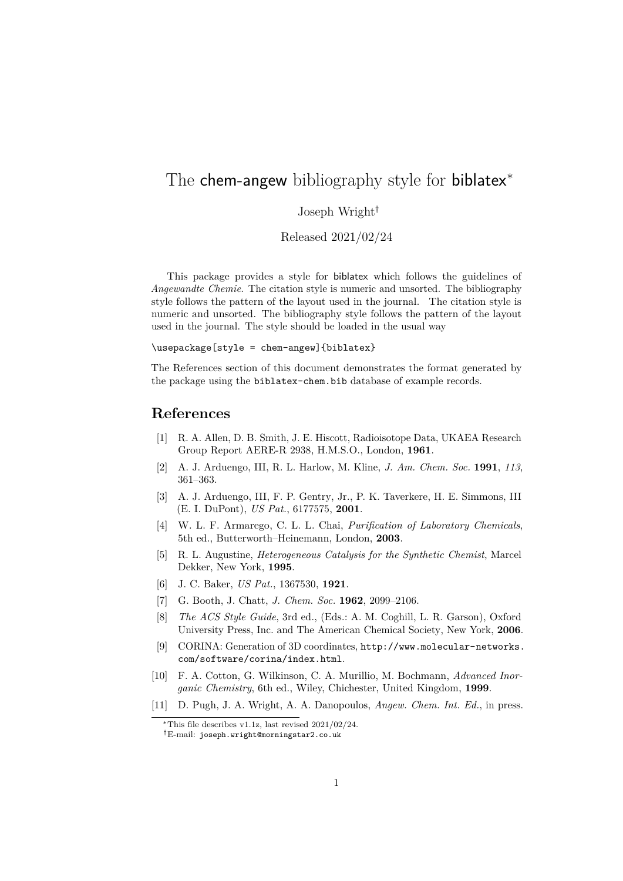## The chem-angew bibliography style for biblatex<sup>\*</sup>

## Joseph Wright†

Released 2021/02/24

This package provides a style for biblatex which follows the guidelines of *Angewandte Chemie*. The citation style is numeric and unsorted. The bibliography style follows the pattern of the layout used in the journal. The citation style is numeric and unsorted. The bibliography style follows the pattern of the layout used in the journal. The style should be loaded in the usual way

\usepackage[style = chem-angew]{biblatex}

The References section of this document demonstrates the format generated by the package using the biblatex-chem.bib database of example records.

## **References**

- [1] R. A. Allen, D. B. Smith, J. E. Hiscott, Radioisotope Data, UKAEA Research Group Report AERE-R 2938, H.M.S.O., London, **1961**.
- [2] A. J. Arduengo, III, R. L. Harlow, M. Kline, *J. Am. Chem. Soc.* **1991**, *113*, 361–363.
- [3] A. J. Arduengo, III, F. P. Gentry, Jr., P. K. Taverkere, H. E. Simmons, III (E. I. DuPont), *US Pat.*, 6177575, **2001**.
- [4] W. L. F. Armarego, C. L. L. Chai, *Purification of Laboratory Chemicals*, 5th ed., Butterworth–Heinemann, London, **2003**.
- [5] R. L. Augustine, *Heterogeneous Catalysis for the Synthetic Chemist*, Marcel Dekker, New York, **1995**.
- [6] J. C. Baker, *US Pat.*, 1367530, **1921**.
- [7] G. Booth, J. Chatt, *J. Chem. Soc.* **1962**, 2099–2106.
- [8] *The ACS Style Guide*, 3rd ed., (Eds.: A. M. Coghill, L. R. Garson), Oxford University Press, Inc. and The American Chemical Society, New York, **2006**.
- [9] CORINA: Generation of 3D coordinates, [http://www.molecular-networks.](http://www.molecular-networks.com/software/corina/index.html) [com/software/corina/index.html](http://www.molecular-networks.com/software/corina/index.html).
- [10] F. A. Cotton, G. Wilkinson, C. A. Murillio, M. Bochmann, *Advanced Inorganic Chemistry*, 6th ed., Wiley, Chichester, United Kingdom, **1999**.
- [11] D. Pugh, J. A. Wright, A. A. Danopoulos, *Angew. Chem. Int. Ed.*, in press.

<sup>∗</sup>This file describes v1.1z, last revised 2021/02/24. †E-mail: [joseph.wright@morningstar2.co.uk](mailto:joseph.wright@morningstar2.co.uk)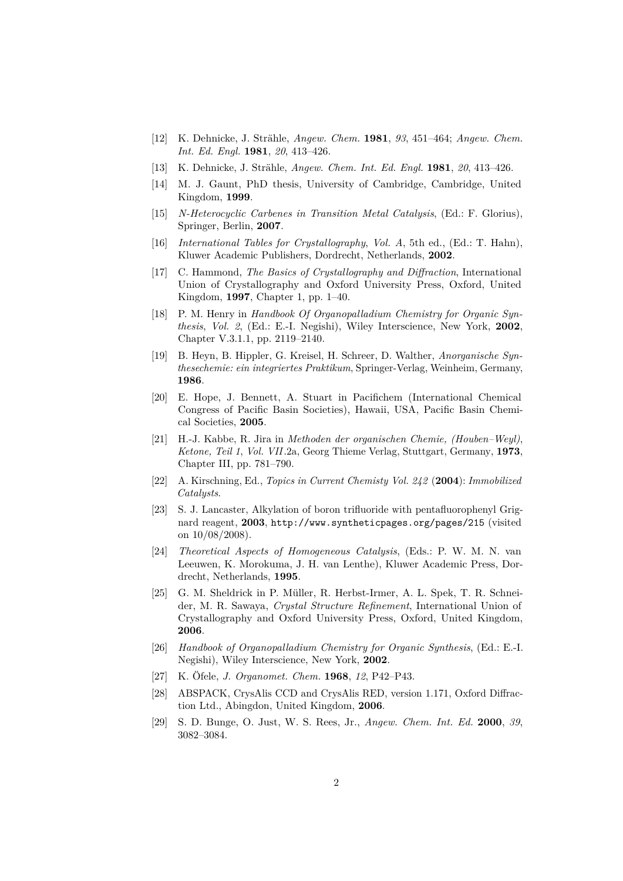- [12] K. Dehnicke, J. Strähle, *Angew. Chem.* **1981**, *93*, 451–464; *Angew. Chem. Int. Ed. Engl.* **1981**, *20*, 413–426.
- [13] K. Dehnicke, J. Strähle, *Angew. Chem. Int. Ed. Engl.* **1981**, *20*, 413–426.
- [14] M. J. Gaunt, PhD thesis, University of Cambridge, Cambridge, United Kingdom, **1999**.
- [15] *N-Heterocyclic Carbenes in Transition Metal Catalysis*, (Ed.: F. Glorius), Springer, Berlin, **2007**.
- [16] *International Tables for Crystallography*, *Vol. A*, 5th ed., (Ed.: T. Hahn), Kluwer Academic Publishers, Dordrecht, Netherlands, **2002**.
- [17] C. Hammond, *The Basics of Crystallography and Diffraction*, International Union of Crystallography and Oxford University Press, Oxford, United Kingdom, **1997**, Chapter 1, pp. 1–40.
- [18] P. M. Henry in *Handbook Of Organopalladium Chemistry for Organic Synthesis*, *Vol. 2*, (Ed.: E.-I. Negishi), Wiley Interscience, New York, **2002**, Chapter V.3.1.1, pp. 2119–2140.
- [19] B. Heyn, B. Hippler, G. Kreisel, H. Schreer, D. Walther, *Anorganische Synthesechemie: ein integriertes Praktikum*, Springer-Verlag, Weinheim, Germany, **1986**.
- [20] E. Hope, J. Bennett, A. Stuart in Pacifichem (International Chemical Congress of Pacific Basin Societies), Hawaii, USA, Pacific Basin Chemical Societies, **2005**.
- [21] H.-J. Kabbe, R. Jira in *Methoden der organischen Chemie, (Houben–Weyl)*, *Ketone, Teil 1*, *Vol. VII*.2a, Georg Thieme Verlag, Stuttgart, Germany, **1973**, Chapter III, pp. 781–790.
- [22] A. Kirschning, Ed., *Topics in Current Chemisty Vol. 242* (**2004**): *Immobilized Catalysts*.
- [23] S. J. Lancaster, Alkylation of boron trifluoride with pentafluorophenyl Grignard reagent, **2003**, <http://www.syntheticpages.org/pages/215> (visited on 10/08/2008).
- [24] *Theoretical Aspects of Homogeneous Catalysis*, (Eds.: P. W. M. N. van Leeuwen, K. Morokuma, J. H. van Lenthe), Kluwer Academic Press, Dordrecht, Netherlands, **1995**.
- [25] G. M. Sheldrick in P. Müller, R. Herbst-Irmer, A. L. Spek, T. R. Schneider, M. R. Sawaya, *Crystal Structure Refinement*, International Union of Crystallography and Oxford University Press, Oxford, United Kingdom, **2006**.
- [26] *Handbook of Organopalladium Chemistry for Organic Synthesis*, (Ed.: E.-I. Negishi), Wiley Interscience, New York, **2002**.
- [27] K. Öfele, *J. Organomet. Chem.* **1968**, *12*, P42–P43.
- [28] ABSPACK, CrysAlis CCD and CrysAlis RED, version 1.171, Oxford Diffraction Ltd., Abingdon, United Kingdom, **2006**.
- [29] S. D. Bunge, O. Just, W. S. Rees, Jr., *Angew. Chem. Int. Ed.* **2000**, *39*, 3082–3084.